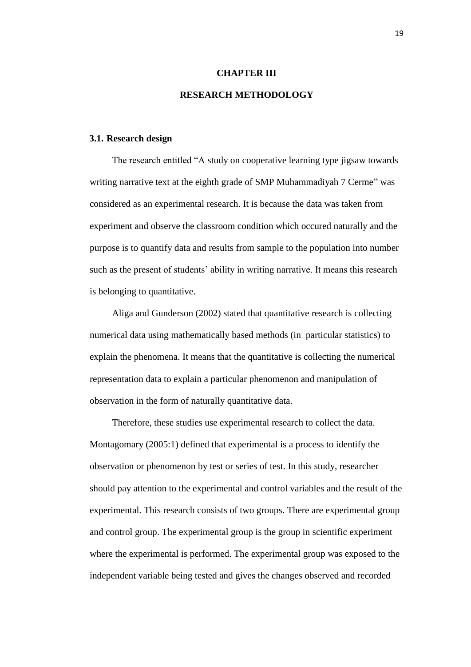#### **CHAPTER III**

# **RESEARCH METHODOLOGY**

#### **3.1. Research design**

The research entitled "A study on cooperative learning type jigsaw towards writing narrative text at the eighth grade of SMP Muhammadiyah 7 Cerme" was considered as an experimental research. It is because the data was taken from experiment and observe the classroom condition which occured naturally and the purpose is to quantify data and results from sample to the population into number such as the present of students' ability in writing narrative. It means this research is belonging to quantitative.

Aliga and Gunderson (2002) stated that quantitative research is collecting numerical data using mathematically based methods (in particular statistics) to explain the phenomena. It means that the quantitative is collecting the numerical representation data to explain a particular phenomenon and manipulation of observation in the form of naturally quantitative data.

Therefore, these studies use experimental research to collect the data. Montagomary (2005:1) defined that experimental is a process to identify the observation or phenomenon by test or series of test. In this study, researcher should pay attention to the experimental and control variables and the result of the experimental. This research consists of two groups. There are experimental group and control group. The experimental group is the group in scientific experiment where the experimental is performed. The experimental group was exposed to the independent variable being tested and gives the changes observed and recorded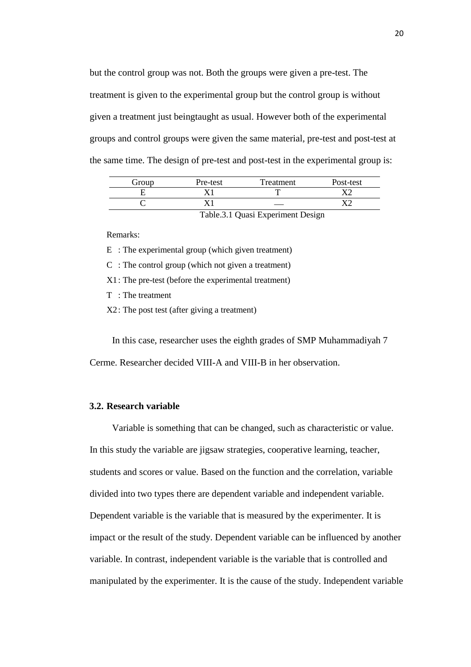but the control group was not. Both the groups were given a pre-test. The treatment is given to the experimental group but the control group is without given a treatment just beingtaught as usual. However both of the experimental groups and control groups were given the same material, pre-test and post-test at the same time. The design of pre-test and post-test in the experimental group is:

| Group | Pre-test | Treatment | Post-test |
|-------|----------|-----------|-----------|
|       |          | ┳         |           |
|       |          |           |           |

Table.3.1 Quasi Experiment Design

Remarks:

E : The experimental group (which given treatment)

C : The control group (which not given a treatment)

X1: The pre-test (before the experimental treatment)

T : The treatment

X2: The post test (after giving a treatment)

In this case, researcher uses the eighth grades of SMP Muhammadiyah 7 Cerme. Researcher decided VIII-A and VIII-B in her observation.

# **3.2. Research variable**

Variable is something that can be changed, such as characteristic or value. In this study the variable are jigsaw strategies, cooperative learning, teacher, students and scores or value. Based on the function and the correlation, variable divided into two types there are dependent variable and independent variable. Dependent variable is the variable that is measured by the experimenter. It is impact or the result of the study. Dependent variable can be influenced by another variable. In contrast, independent variable is the variable that is controlled and manipulated by the experimenter. It is the cause of the study. Independent variable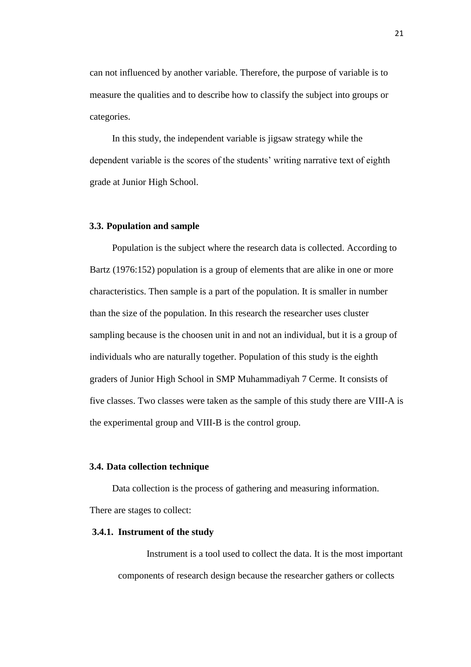can not influenced by another variable. Therefore, the purpose of variable is to measure the qualities and to describe how to classify the subject into groups or categories.

In this study, the independent variable is jigsaw strategy while the dependent variable is the scores of the students' writing narrative text of eighth grade at Junior High School.

## **3.3. Population and sample**

Population is the subject where the research data is collected. According to Bartz (1976:152) population is a group of elements that are alike in one or more characteristics. Then sample is a part of the population. It is smaller in number than the size of the population. In this research the researcher uses cluster sampling because is the choosen unit in and not an individual, but it is a group of individuals who are naturally together. Population of this study is the eighth graders of Junior High School in SMP Muhammadiyah 7 Cerme. It consists of five classes. Two classes were taken as the sample of this study there are VIII-A is the experimental group and VIII-B is the control group.

#### **3.4. Data collection technique**

Data collection is the process of gathering and measuring information. There are stages to collect:

#### **3.4.1. Instrument of the study**

Instrument is a tool used to collect the data. It is the most important components of research design because the researcher gathers or collects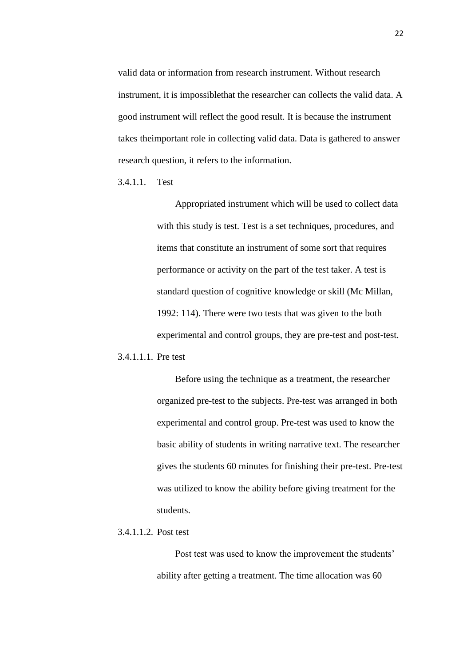valid data or information from research instrument. Without research instrument, it is impossiblethat the researcher can collects the valid data. A good instrument will reflect the good result. It is because the instrument takes theimportant role in collecting valid data. Data is gathered to answer research question, it refers to the information.

3.4.1.1. Test

Appropriated instrument which will be used to collect data with this study is test. Test is a set techniques, procedures, and items that constitute an instrument of some sort that requires performance or activity on the part of the test taker. A test is standard question of cognitive knowledge or skill (Mc Millan, 1992: 114). There were two tests that was given to the both experimental and control groups, they are pre-test and post-test.

3.4.1.1.1. Pre test

Before using the technique as a treatment, the researcher organized pre-test to the subjects. Pre-test was arranged in both experimental and control group. Pre-test was used to know the basic ability of students in writing narrative text. The researcher gives the students 60 minutes for finishing their pre-test. Pre-test was utilized to know the ability before giving treatment for the students.

#### 3.4.1.1.2. Post test

Post test was used to know the improvement the students' ability after getting a treatment. The time allocation was 60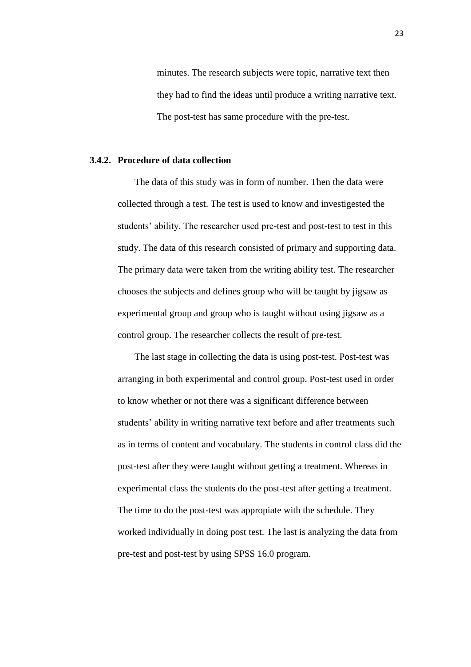minutes. The research subjects were topic, narrative text then they had to find the ideas until produce a writing narrative text. The post-test has same procedure with the pre-test.

#### **3.4.2. Procedure of data collection**

The data of this study was in form of number. Then the data were collected through a test. The test is used to know and investigested the students' ability. The researcher used pre-test and post-test to test in this study. The data of this research consisted of primary and supporting data. The primary data were taken from the writing ability test. The researcher chooses the subjects and defines group who will be taught by jigsaw as experimental group and group who is taught without using jigsaw as a control group. The researcher collects the result of pre-test.

The last stage in collecting the data is using post-test. Post-test was arranging in both experimental and control group. Post-test used in order to know whether or not there was a significant difference between students' ability in writing narrative text before and after treatments such as in terms of content and vocabulary. The students in control class did the post-test after they were taught without getting a treatment. Whereas in experimental class the students do the post-test after getting a treatment. The time to do the post-test was appropiate with the schedule. They worked individually in doing post test. The last is analyzing the data from pre-test and post-test by using SPSS 16.0 program.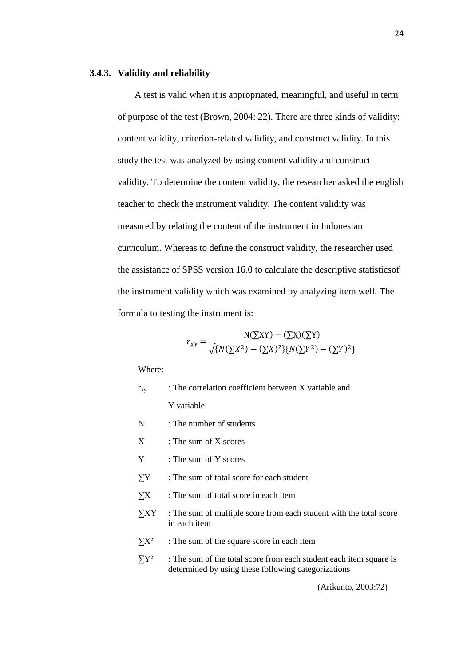#### **3.4.3. Validity and reliability**

A test is valid when it is appropriated, meaningful, and useful in term of purpose of the test (Brown, 2004: 22). There are three kinds of validity: content validity, criterion-related validity, and construct validity. In this study the test was analyzed by using content validity and construct validity. To determine the content validity, the researcher asked the english teacher to check the instrument validity. The content validity was measured by relating the content of the instrument in Indonesian curriculum. Whereas to define the construct validity, the researcher used the assistance of SPSS version 16.0 to calculate the descriptive statisticsof the instrument validity which was examined by analyzing item well. The formula to testing the instrument is:

$$
r_{XY} = \frac{N(\sum XY) - (\sum X)(\sum Y)}{\sqrt{\{N(\sum X^2) - (\sum X)^2\}\{N(\sum Y^2) - (\sum Y)^2\}}}
$$

Where:

| $r_{xy}$   | : The correlation coefficient between X variable and                                                                      |  |  |
|------------|---------------------------------------------------------------------------------------------------------------------------|--|--|
|            | Y variable                                                                                                                |  |  |
| N          | : The number of students                                                                                                  |  |  |
| X          | : The sum of $X$ scores                                                                                                   |  |  |
| Y          | : The sum of Y scores                                                                                                     |  |  |
| $\sum Y$   | : The sum of total score for each student                                                                                 |  |  |
| $\sum X$   | : The sum of total score in each item                                                                                     |  |  |
| $\sum XY$  | : The sum of multiple score from each student with the total score<br>in each item                                        |  |  |
| $\sum X^2$ | : The sum of the square score in each item                                                                                |  |  |
| $\sum Y^2$ | : The sum of the total score from each student each item square is<br>determined by using these following categorizations |  |  |
|            |                                                                                                                           |  |  |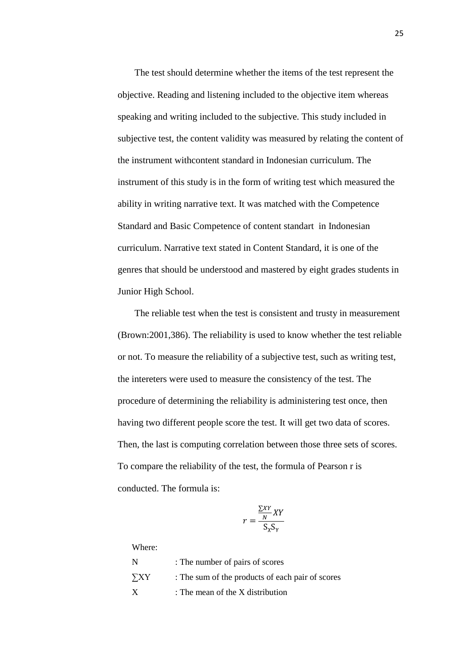The test should determine whether the items of the test represent the objective. Reading and listening included to the objective item whereas speaking and writing included to the subjective. This study included in subjective test, the content validity was measured by relating the content of the instrument withcontent standard in Indonesian curriculum. The instrument of this study is in the form of writing test which measured the ability in writing narrative text. It was matched with the Competence Standard and Basic Competence of content standart in Indonesian curriculum. Narrative text stated in Content Standard, it is one of the genres that should be understood and mastered by eight grades students in Junior High School.

The reliable test when the test is consistent and trusty in measurement (Brown:2001,386). The reliability is used to know whether the test reliable or not. To measure the reliability of a subjective test, such as writing test, the intereters were used to measure the consistency of the test. The procedure of determining the reliability is administering test once, then having two different people score the test. It will get two data of scores. Then, the last is computing correlation between those three sets of scores. To compare the reliability of the test, the formula of Pearson r is conducted. The formula is:

$$
r = \frac{\frac{\sum XY}{N} XY}{S_X S_Y}
$$

Where:

| N         | : The number of pairs of scores                  |
|-----------|--------------------------------------------------|
| $\sum XY$ | : The sum of the products of each pair of scores |
| X         | : The mean of the X distribution                 |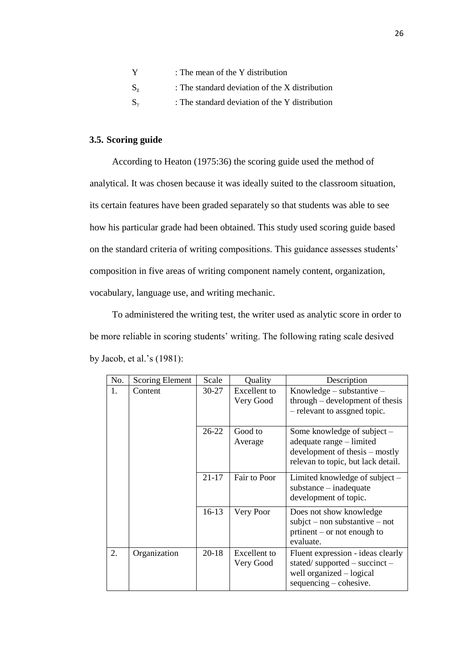| Y                                         | : The mean of the Y distribution                 |
|-------------------------------------------|--------------------------------------------------|
| $\mathrm{S}_{\mathrm{v}}$                 | : The standard deviation of the $X$ distribution |
| $\mathrm{S}_{\scriptscriptstyle{\gamma}}$ | : The standard deviation of the Y distribution   |

## **3.5. Scoring guide**

According to Heaton (1975:36) the scoring guide used the method of analytical. It was chosen because it was ideally suited to the classroom situation, its certain features have been graded separately so that students was able to see how his particular grade had been obtained. This study used scoring guide based on the standard criteria of writing compositions. This guidance assesses students' composition in five areas of writing component namely content, organization, vocabulary, language use, and writing mechanic.

To administered the writing test, the writer used as analytic score in order to be more reliable in scoring students' writing. The following rating scale desived by Jacob, et al.'s (1981):

| No. | Scoring Element | Scale     | Quality                          | Description                                                                                                                     |
|-----|-----------------|-----------|----------------------------------|---------------------------------------------------------------------------------------------------------------------------------|
| 1.  | Content         | $30 - 27$ | <b>Excellent</b> to<br>Very Good | Knowledge $-$ substantive $-$<br>through – development of thesis<br>- relevant to assgned topic.                                |
|     |                 | $26 - 22$ | Good to<br>Average               | Some knowledge of subject –<br>adequate range – limited<br>development of thesis – mostly<br>relevan to topic, but lack detail. |
|     |                 | $21 - 17$ | Fair to Poor                     | Limited knowledge of subject –<br>$substance - inadequate$<br>development of topic.                                             |
|     |                 | $16-13$   | Very Poor                        | Does not show knowledge<br>$subject - nonsubstitute - not$<br>prtinent – or not enough to<br>evaluate.                          |
| 2.  | Organization    | $20 - 18$ | <b>Excellent</b> to<br>Very Good | Fluent expression - ideas clearly<br>stated/supported – succinct –<br>well organized – logical<br>$sequencing - cohesive.$      |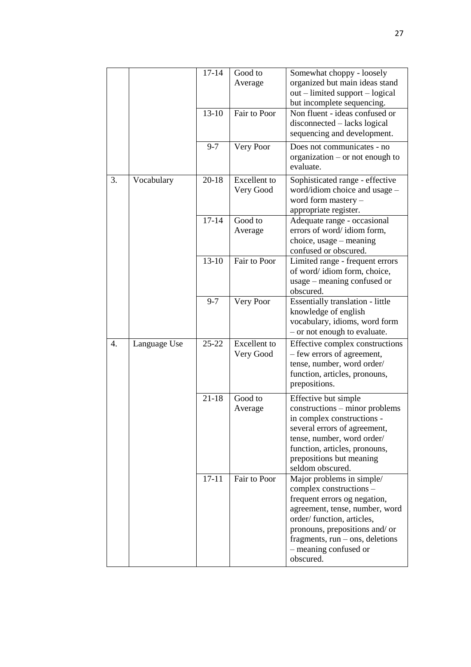|    |              | $17 - 14$          | Good to<br>Average               | Somewhat choppy - loosely<br>organized but main ideas stand<br>out – limited support – logical<br>but incomplete sequencing.                                                                                                                                     |
|----|--------------|--------------------|----------------------------------|------------------------------------------------------------------------------------------------------------------------------------------------------------------------------------------------------------------------------------------------------------------|
|    |              | $13 - 10$          | Fair to Poor                     | Non fluent - ideas confused or<br>disconnected – lacks logical<br>sequencing and development.                                                                                                                                                                    |
|    |              | $9 - 7$            | Very Poor                        | Does not communicates - no<br>organization $-$ or not enough to<br>evaluate.                                                                                                                                                                                     |
| 3. | Vocabulary   | $20 - 18$          | <b>Excellent</b> to<br>Very Good | Sophisticated range - effective<br>word/idiom choice and usage -<br>word form mastery -<br>appropriate register.                                                                                                                                                 |
|    |              | $17 - 14$          | Good to<br>Average               | Adequate range - occasional<br>errors of word/idiom form,<br>choice, usage - meaning<br>confused or obscured.                                                                                                                                                    |
|    |              | $13 - 10$          | Fair to Poor                     | Limited range - frequent errors<br>of word/idiom form, choice,<br>usage – meaning confused or<br>obscured.                                                                                                                                                       |
|    |              | $9 - 7$            | Very Poor                        | Essentially translation - little<br>knowledge of english<br>vocabulary, idioms, word form<br>- or not enough to evaluate.                                                                                                                                        |
| 4. | Language Use | $25 - 22$          | <b>Excellent</b> to<br>Very Good | Effective complex constructions<br>- few errors of agreement,<br>tense, number, word order/<br>function, articles, pronouns,<br>prepositions.                                                                                                                    |
|    |              | $21 - 18$          | Good to<br>Average               | Effective but simple<br>constructions – minor problems<br>in complex constructions -<br>several errors of agreement,<br>tense, number, word order/<br>function, articles, pronouns,<br>prepositions but meaning<br>seldom obscured.                              |
|    |              | $\overline{17-11}$ | Fair to Poor                     | Major problems in simple/<br>complex constructions -<br>frequent errors og negation,<br>agreement, tense, number, word<br>order/function, articles,<br>pronouns, prepositions and/ or<br>fragments, $run -$ ons, deletions<br>- meaning confused or<br>obscured. |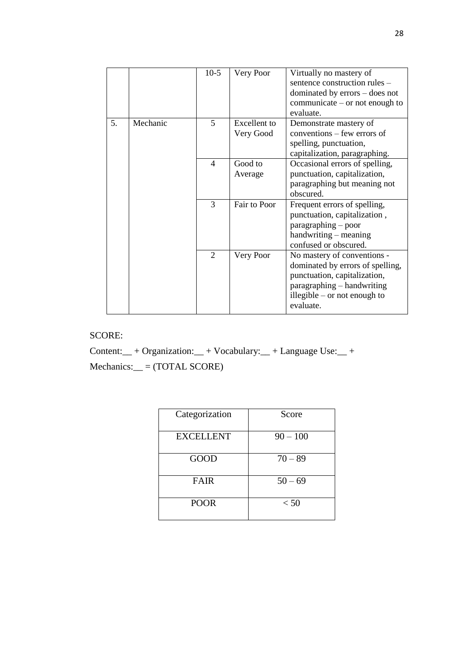|    |          | $10-5$         | Very Poor                        | Virtually no mastery of<br>sentence construction rules -<br>dominated by errors – does not<br>communicate $-$ or not enough to<br>evaluate.                                  |
|----|----------|----------------|----------------------------------|------------------------------------------------------------------------------------------------------------------------------------------------------------------------------|
| 5. | Mechanic | 5              | <b>Excellent</b> to<br>Very Good | Demonstrate mastery of<br>conventions – few errors of<br>spelling, punctuation,<br>capitalization, paragraphing.                                                             |
|    |          | $\overline{4}$ | Good to<br>Average               | Occasional errors of spelling,<br>punctuation, capitalization,<br>paragraphing but meaning not<br>obscured.                                                                  |
|    |          | 3              | Fair to Poor                     | Frequent errors of spelling,<br>punctuation, capitalization,<br>paragraphing – poor<br>handwriting – meaning<br>confused or obscured.                                        |
|    |          | $\overline{2}$ | Very Poor                        | No mastery of conventions -<br>dominated by errors of spelling,<br>punctuation, capitalization,<br>paragraphing – handwriting<br>illegible $-$ or not enough to<br>evaluate. |

# SCORE:

Content:\_\_ + Organization:\_\_ + Vocabulary:\_\_ + Language Use:\_\_ + Mechanics:\_\_ = (TOTAL SCORE)

| Categorization   | Score      |
|------------------|------------|
| <b>EXCELLENT</b> | $90 - 100$ |
| <b>GOOD</b>      | $70 - 89$  |
| <b>FAIR</b>      | $50 - 69$  |
| <b>POOR</b>      | < 50       |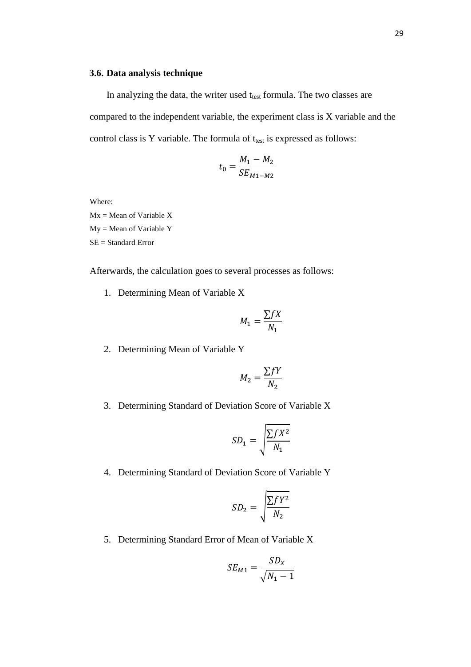#### **3.6. Data analysis technique**

In analyzing the data, the writer used ttest formula. The two classes are compared to the independent variable, the experiment class is X variable and the control class is Y variable. The formula of  $t_{test}$  is expressed as follows:

$$
t_0 = \frac{M_1 - M_2}{SE_{M1 - M2}}
$$

Where:

 $Mx = Mean of Variable X$ My = Mean of Variable Y SE = Standard Error

Afterwards, the calculation goes to several processes as follows:

1. Determining Mean of Variable X

$$
M_1 = \frac{\sum f X}{N_1}
$$

2. Determining Mean of Variable Y

$$
M_2 = \frac{\sum fY}{N_2}
$$

3. Determining Standard of Deviation Score of Variable X

$$
SD_1 = \sqrt{\frac{\sum fX^2}{N_1}}
$$

4. Determining Standard of Deviation Score of Variable Y

$$
SD_2 = \sqrt{\frac{\sum fY^2}{N_2}}
$$

5. Determining Standard Error of Mean of Variable X

$$
SE_{M1} = \frac{SD_X}{\sqrt{N_1 - 1}}
$$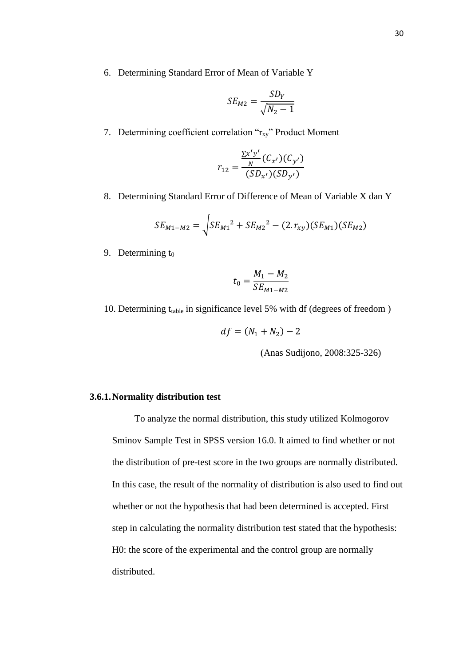6. Determining Standard Error of Mean of Variable Y

$$
SE_{M2} = \frac{SD_Y}{\sqrt{N_2 - 1}}
$$

7. Determining coefficient correlation " $r_{xy}$ " Product Moment

$$
r_{12} = \frac{\frac{\sum x'y'}{N}(C_{x'}) (C_{y'})}{(SD_{x'}) (SD_{y'})}
$$

8. Determining Standard Error of Difference of Mean of Variable X dan Y

$$
SE_{M1-M2} = \sqrt{SE_{M1}^2 + SE_{M2}^2 - (2.r_{xy})(SE_{M1})(SE_{M2})}
$$

9. Determining  $t_0$ 

$$
t_0 = \frac{M_1 - M_2}{SE_{M1 - M2}}
$$

10. Determining  $t_{table}$  in significance level 5% with df (degrees of freedom)

$$
df = (N_1 + N_2) - 2
$$

(Anas Sudijono, 2008:325-326)

# **3.6.1.Normality distribution test**

To analyze the normal distribution, this study utilized Kolmogorov Sminov Sample Test in SPSS version 16.0. It aimed to find whether or not the distribution of pre-test score in the two groups are normally distributed. In this case, the result of the normality of distribution is also used to find out whether or not the hypothesis that had been determined is accepted. First step in calculating the normality distribution test stated that the hypothesis: H0: the score of the experimental and the control group are normally distributed.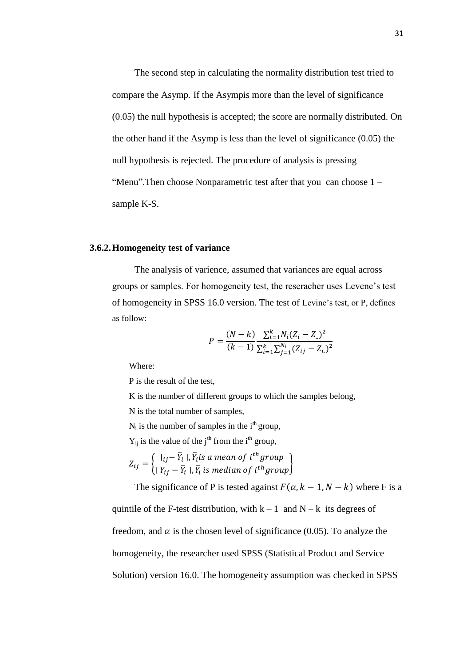The second step in calculating the normality distribution test tried to compare the Asymp. If the Asympis more than the level of significance (0.05) the null hypothesis is accepted; the score are normally distributed. On the other hand if the Asymp is less than the level of significance (0.05) the null hypothesis is rejected. The procedure of analysis is pressing "Menu".Then choose Nonparametric test after that you can choose 1 – sample K-S.

#### **3.6.2.Homogeneity test of variance**

The analysis of varience, assumed that variances are equal across groups or samples. For homogeneity test, the reseracher uses Levene's test of homogeneity in SPSS 16.0 version. The test of Levine's test, or P, defines as follow:

$$
P = \frac{(N-k)}{(k-1)} \frac{\sum_{i=1}^{k} N_i (Z_i - Z_{..})^2}{\sum_{i=1}^{k} \sum_{j=1}^{N_i} (Z_{ij} - Z_{i..})^2}
$$

Where:

P is the result of the test,

K is the number of different groups to which the samples belong,

N is the total number of samples,

 $N_i$  is the number of samples in the i<sup>th</sup> group,

 $Y_{ij}$  is the value of the j<sup>th</sup> from the i<sup>th</sup> group,

 $Z_{ij} = \{$  $|_{ij} - \bar{Y}_i|$ ,  $\bar{Y}_i$ is a mean of i<sup>t</sup>  $|Y_{ij} - \bar{Y}_i|, \bar{Y}_i$  is median of  $i^{th}$  group

The significance of P is tested against  $F(\alpha, k - 1, N - k)$  where F is a

quintile of the F-test distribution, with  $k - 1$  and  $N - k$  its degrees of freedom, and  $\alpha$  is the chosen level of significance (0.05). To analyze the homogeneity, the researcher used SPSS (Statistical Product and Service Solution) version 16.0. The homogeneity assumption was checked in SPSS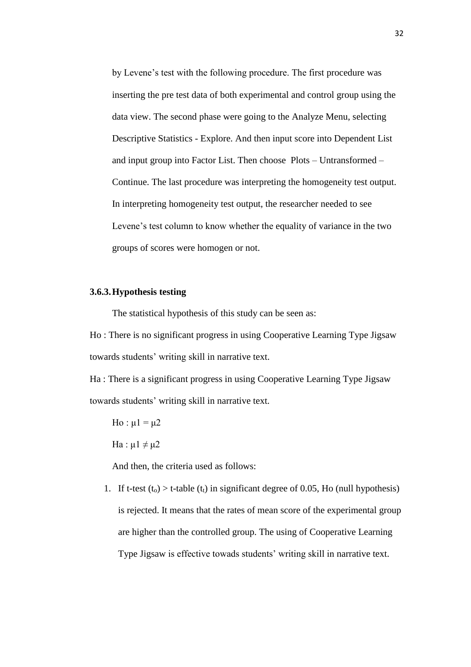by Levene's test with the following procedure. The first procedure was inserting the pre test data of both experimental and control group using the data view. The second phase were going to the Analyze Menu, selecting Descriptive Statistics - Explore. And then input score into Dependent List and input group into Factor List. Then choose Plots – Untransformed – Continue. The last procedure was interpreting the homogeneity test output. In interpreting homogeneity test output, the researcher needed to see Levene's test column to know whether the equality of variance in the two groups of scores were homogen or not.

## **3.6.3.Hypothesis testing**

The statistical hypothesis of this study can be seen as:

Ho : There is no significant progress in using Cooperative Learning Type Jigsaw towards students' writing skill in narrative text.

Ha : There is a significant progress in using Cooperative Learning Type Jigsaw towards students' writing skill in narrative text.

Ho :  $\mu$ 1 =  $\mu$ 2 Ha :  $\mu$ 1  $\neq$   $\mu$ 2

And then, the criteria used as follows:

1. If t-test  $(t_0) > t$ -table  $(t_1)$  in significant degree of 0.05, Ho (null hypothesis) is rejected. It means that the rates of mean score of the experimental group are higher than the controlled group. The using of Cooperative Learning Type Jigsaw is effective towads students' writing skill in narrative text.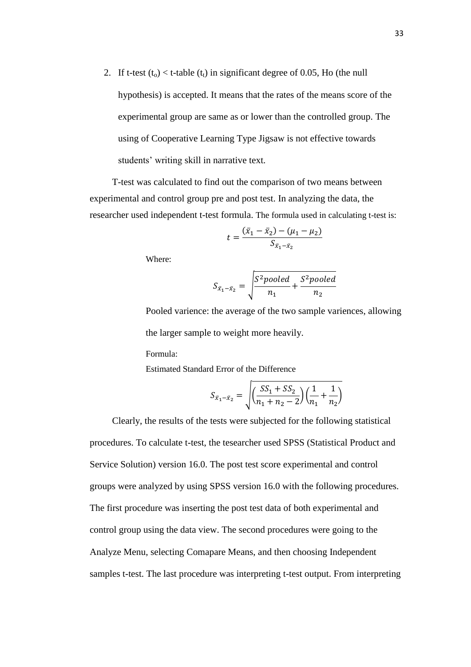2. If t-test  $(t_0) < t$ -table  $(t_1)$  in significant degree of 0.05, Ho (the null hypothesis) is accepted. It means that the rates of the means score of the experimental group are same as or lower than the controlled group. The using of Cooperative Learning Type Jigsaw is not effective towards students' writing skill in narrative text.

T-test was calculated to find out the comparison of two means between experimental and control group pre and post test. In analyzing the data, the researcher used independent t-test formula. The formula used in calculating t-test is:

$$
t = \frac{(\bar{x}_1 - \bar{x}_2) - (\mu_1 - \mu_2)}{S_{\bar{x}_1 - \bar{x}_2}}
$$

Where:

$$
S_{\bar{x}_1 - \bar{x}_2} = \sqrt{\frac{S^2 \text{pooled}}{n_1} + \frac{S^2 \text{pooled}}{n_2}}
$$

Pooled varience: the average of the two sample variences, allowing the larger sample to weight more heavily.

Formula:

Estimated Standard Error of the Difference

$$
S_{\bar{x}_1 - \bar{x}_2} = \sqrt{\left(\frac{SS_1 + SS_2}{n_1 + n_2 - 2}\right)\left(\frac{1}{n_1} + \frac{1}{n_2}\right)}
$$

Clearly, the results of the tests were subjected for the following statistical procedures. To calculate t-test, the tesearcher used SPSS (Statistical Product and Service Solution) version 16.0. The post test score experimental and control groups were analyzed by using SPSS version 16.0 with the following procedures. The first procedure was inserting the post test data of both experimental and control group using the data view. The second procedures were going to the Analyze Menu, selecting Comapare Means, and then choosing Independent samples t-test. The last procedure was interpreting t-test output. From interpreting